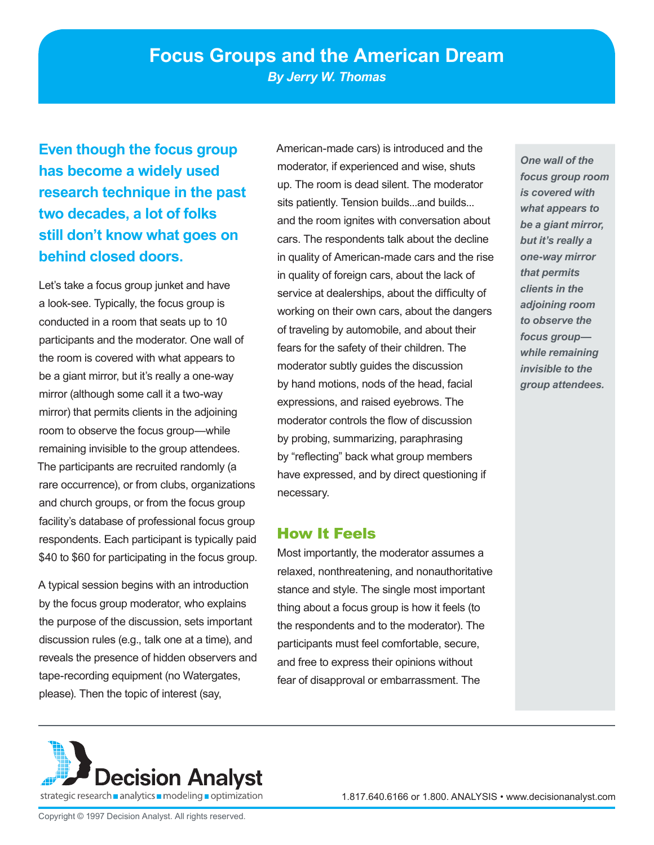**Even though the focus group has become a widely used research technique in the past two decades, a lot of folks still don't know what goes on behind closed doors.** 

Let's take a focus group junket and have a look-see. Typically, the focus group is conducted in a room that seats up to 10 participants and the moderator. One wall of the room is covered with what appears to be a giant mirror, but it's really a one-way mirror (although some call it a two-way mirror) that permits clients in the adjoining room to observe the focus group—while remaining invisible to the group attendees. The participants are recruited randomly (a rare occurrence), or from clubs, organizations and church groups, or from the focus group facility's database of professional focus group respondents. Each participant is typically paid \$40 to \$60 for participating in the focus group.

A typical session begins with an introduction by the focus group moderator, who explains the purpose of the discussion, sets important discussion rules (e.g., talk one at a time), and reveals the presence of hidden observers and tape-recording equipment (no Watergates, please). Then the topic of interest (say,

American-made cars) is introduced and the moderator, if experienced and wise, shuts up. The room is dead silent. The moderator sits patiently. Tension builds...and builds... and the room ignites with conversation about cars. The respondents talk about the decline in quality of American-made cars and the rise in quality of foreign cars, about the lack of service at dealerships, about the difficulty of working on their own cars, about the dangers of traveling by automobile, and about their fears for the safety of their children. The moderator subtly guides the discussion by hand motions, nods of the head, facial expressions, and raised eyebrows. The moderator controls the flow of discussion by probing, summarizing, paraphrasing by "reflecting" back what group members have expressed, and by direct questioning if necessary.

## How It Feels

Most importantly, the moderator assumes a relaxed, nonthreatening, and nonauthoritative stance and style. The single most important thing about a focus group is how it feels (to the respondents and to the moderator). The participants must feel comfortable, secure, and free to express their opinions without fear of disapproval or embarrassment. The

*One wall of the focus group room is covered with what appears to be a giant mirror, but it's really a one-way mirror that permits clients in the adjoining room to observe the focus group while remaining invisible to the group attendees.* 

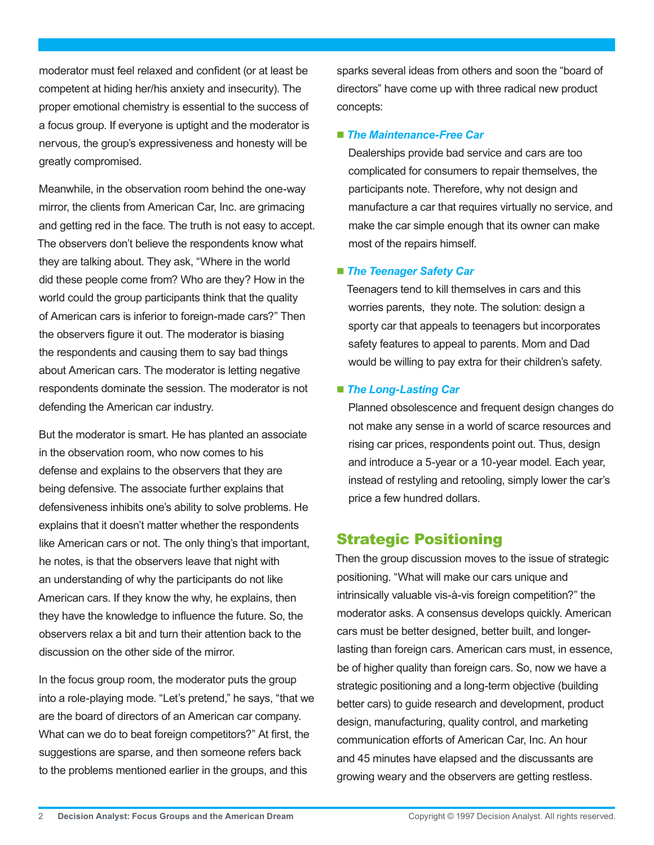moderator must feel relaxed and confident (or at least be competent at hiding her/his anxiety and insecurity). The proper emotional chemistry is essential to the success of a focus group. If everyone is uptight and the moderator is nervous, the group's expressiveness and honesty will be greatly compromised.

Meanwhile, in the observation room behind the one-way mirror, the clients from American Car, Inc. are grimacing and getting red in the face. The truth is not easy to accept. The observers don't believe the respondents know what they are talking about. They ask, "Where in the world did these people come from? Who are they? How in the world could the group participants think that the quality of American cars is inferior to foreign-made cars?" Then the observers figure it out. The moderator is biasing the respondents and causing them to say bad things about American cars. The moderator is letting negative respondents dominate the session. The moderator is not defending the American car industry.

But the moderator is smart. He has planted an associate in the observation room, who now comes to his defense and explains to the observers that they are being defensive. The associate further explains that defensiveness inhibits one's ability to solve problems. He explains that it doesn't matter whether the respondents like American cars or not. The only thing's that important, he notes, is that the observers leave that night with an understanding of why the participants do not like American cars. If they know the why, he explains, then they have the knowledge to influence the future. So, the observers relax a bit and turn their attention back to the discussion on the other side of the mirror.

In the focus group room, the moderator puts the group into a role-playing mode. "Let's pretend," he says, "that we are the board of directors of an American car company. What can we do to beat foreign competitors?" At first, the suggestions are sparse, and then someone refers back to the problems mentioned earlier in the groups, and this

sparks several ideas from others and soon the "board of directors" have come up with three radical new product concepts:

### ■ The Maintenance-Free Car

Dealerships provide bad service and cars are too complicated for consumers to repair themselves, the participants note. Therefore, why not design and manufacture a car that requires virtually no service, and make the car simple enough that its owner can make most of the repairs himself.

#### *The Teenager Safety Car*

Teenagers tend to kill themselves in cars and this worries parents, they note. The solution: design a sporty car that appeals to teenagers but incorporates safety features to appeal to parents. Mom and Dad would be willing to pay extra for their children's safety.

### ■ **The Long-Lasting Car**

Planned obsolescence and frequent design changes do not make any sense in a world of scarce resources and rising car prices, respondents point out. Thus, design and introduce a 5-year or a 10-year model. Each year, instead of restyling and retooling, simply lower the car's price a few hundred dollars.

### Strategic Positioning

Then the group discussion moves to the issue of strategic positioning. "What will make our cars unique and intrinsically valuable vis-à-vis foreign competition?" the moderator asks. A consensus develops quickly. American cars must be better designed, better built, and longerlasting than foreign cars. American cars must, in essence, be of higher quality than foreign cars. So, now we have a strategic positioning and a long-term objective (building better cars) to guide research and development, product design, manufacturing, quality control, and marketing communication efforts of American Car, Inc. An hour and 45 minutes have elapsed and the discussants are growing weary and the observers are getting restless.